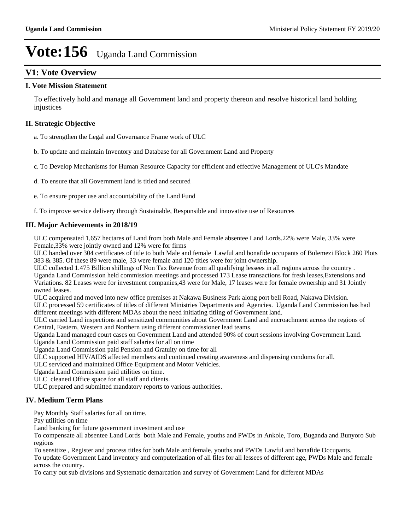# **V1: Vote Overview**

#### **I. Vote Mission Statement**

To effectively hold and manage all Government land and property thereon and resolve historical land holding injustices

## **II. Strategic Objective**

a. To strengthen the Legal and Governance Frame work of ULC

b. To update and maintain Inventory and Database for all Government Land and Property

c. To Develop Mechanisms for Human Resource Capacity for efficient and effective Management of ULC's Mandate

d. To ensure that all Government land is titled and secured

e. To ensure proper use and accountability of the Land Fund

f. To improve service delivery through Sustainable, Responsible and innovative use of Resources

## **III. Major Achievements in 2018/19**

ULC compensated 1,657 hectares of Land from both Male and Female absentee Land Lords.22% were Male, 33% were Female,33% were jointly owned and 12% were for firms

ULC handed over 304 certificates of title to both Male and female Lawful and bonafide occupants of Bulemezi Block 260 Plots 383 & 385. Of these 89 were male, 33 were female and 120 titles were for joint ownership.

ULC collected 1.475 Billion shillings of Non Tax Revenue from all qualifying lessees in all regions across the country . Uganda Land Commission held commission meetings and processed 173 Lease transactions for fresh leases,Extensions and Variations. 82 Leases were for investment companies,43 were for Male, 17 leases were for female ownership and 31 Jointly

owned leases. ULC acquired and moved into new office premises at Nakawa Business Park along port bell Road, Nakawa Division. ULC processed 59 certificates of titles of different Ministries Departments and Agencies. Uganda Land Commission has had

different meetings with different MDAs about the need initiating titling of Government land.

ULC carried Land inspections and sensitized communities about Government Land and encroachment across the regions of Central, Eastern, Western and Northern using different commissioner lead teams.

Uganda Land managed court cases on Government Land and attended 90% of court sessions involving Government Land.

Uganda Land Commission paid staff salaries for all on time

Uganda Land Commission paid Pension and Gratuity on time for all

ULC supported HIV/AIDS affected members and continued creating awareness and dispensing condoms for all.

ULC serviced and maintained Office Equipment and Motor Vehicles.

Uganda Land Commission paid utilities on time.

ULC cleaned Office space for all staff and clients.

ULC prepared and submitted mandatory reports to various authorities.

## **IV. Medium Term Plans**

Pay Monthly Staff salaries for all on time.

Pay utilities on time

Land banking for future government investment and use

To compensate all absentee Land Lords both Male and Female, youths and PWDs in Ankole, Toro, Buganda and Bunyoro Sub regions

To sensitize , Register and process titles for both Male and female, youths and PWDs Lawful and bonafide Occupants.

To update Government Land inventory and computerization of all files for all lessees of different age, PWDs Male and female across the country.

To carry out sub divisions and Systematic demarcation and survey of Government Land for different MDAs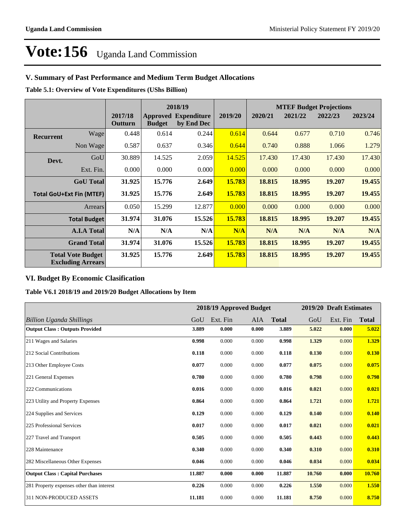# **V. Summary of Past Performance and Medium Term Budget Allocations**

**Table 5.1: Overview of Vote Expenditures (UShs Billion)**

|                  |                                                      |                    |               | 2018/19                                   |         | <b>MTEF Budget Projections</b> |         |         |         |
|------------------|------------------------------------------------------|--------------------|---------------|-------------------------------------------|---------|--------------------------------|---------|---------|---------|
|                  |                                                      | 2017/18<br>Outturn | <b>Budget</b> | <b>Approved Expenditure</b><br>by End Dec | 2019/20 | 2020/21                        | 2021/22 | 2022/23 | 2023/24 |
| <b>Recurrent</b> | Wage                                                 | 0.448              | 0.614         | 0.244                                     | 0.614   | 0.644                          | 0.677   | 0.710   | 0.746   |
|                  | Non Wage                                             | 0.587              | 0.637         | 0.346                                     | 0.644   | 0.740                          | 0.888   | 1.066   | 1.279   |
| Devt.            | GoU                                                  | 30.889             | 14.525        | 2.059                                     | 14.525  | 17.430                         | 17.430  | 17.430  | 17.430  |
|                  | Ext. Fin.                                            | 0.000              | 0.000         | 0.000                                     | 0.000   | 0.000                          | 0.000   | 0.000   | 0.000   |
|                  | <b>GoU</b> Total                                     | 31.925             | 15.776        | 2.649                                     | 15.783  | 18.815                         | 18.995  | 19.207  | 19.455  |
|                  | <b>Total GoU+Ext Fin (MTEF)</b>                      | 31.925             | 15.776        | 2.649                                     | 15.783  | 18.815                         | 18.995  | 19.207  | 19.455  |
|                  | Arrears                                              | 0.050              | 15.299        | 12.877                                    | 0.000   | 0.000                          | 0.000   | 0.000   | 0.000   |
|                  | <b>Total Budget</b>                                  | 31.974             | 31.076        | 15.526                                    | 15.783  | 18.815                         | 18.995  | 19.207  | 19.455  |
|                  | <b>A.I.A Total</b>                                   | N/A                | N/A           | N/A                                       | N/A     | N/A                            | N/A     | N/A     | N/A     |
|                  | <b>Grand Total</b>                                   | 31.974             | 31.076        | 15.526                                    | 15.783  | 18.815                         | 18.995  | 19.207  | 19.455  |
|                  | <b>Total Vote Budget</b><br><b>Excluding Arrears</b> | 31.925             | 15.776        | 2.649                                     | 15.783  | 18.815                         | 18.995  | 19.207  | 19.455  |

# **VI. Budget By Economic Clasification**

**Table V6.1 2018/19 and 2019/20 Budget Allocations by Item**

|                                           |        | 2018/19 Approved Budget |            |              |        | 2019/20 Draft Estimates |              |
|-------------------------------------------|--------|-------------------------|------------|--------------|--------|-------------------------|--------------|
| Billion Uganda Shillings                  | GoU    | Ext. Fin                | <b>AIA</b> | <b>Total</b> | GoU    | Ext. Fin                | <b>Total</b> |
| <b>Output Class: Outputs Provided</b>     | 3.889  | 0.000                   | 0.000      | 3.889        | 5.022  | 0.000                   | 5.022        |
| 211 Wages and Salaries                    | 0.998  | 0.000                   | 0.000      | 0.998        | 1.329  | 0.000                   | 1.329        |
| 212 Social Contributions                  | 0.118  | 0.000                   | 0.000      | 0.118        | 0.130  | 0.000                   | 0.130        |
| 213 Other Employee Costs                  | 0.077  | 0.000                   | 0.000      | 0.077        | 0.075  | 0.000                   | 0.075        |
| 221 General Expenses                      | 0.780  | 0.000                   | 0.000      | 0.780        | 0.798  | 0.000                   | 0.798        |
| 222 Communications                        | 0.016  | 0.000                   | 0.000      | 0.016        | 0.021  | 0.000                   | 0.021        |
| 223 Utility and Property Expenses         | 0.864  | 0.000                   | 0.000      | 0.864        | 1.721  | 0.000                   | 1.721        |
| 224 Supplies and Services                 | 0.129  | 0.000                   | 0.000      | 0.129        | 0.140  | 0.000                   | 0.140        |
| 225 Professional Services                 | 0.017  | 0.000                   | 0.000      | 0.017        | 0.021  | 0.000                   | 0.021        |
| 227 Travel and Transport                  | 0.505  | 0.000                   | 0.000      | 0.505        | 0.443  | 0.000                   | 0.443        |
| 228 Maintenance                           | 0.340  | 0.000                   | 0.000      | 0.340        | 0.310  | 0.000                   | 0.310        |
| 282 Miscellaneous Other Expenses          | 0.046  | 0.000                   | 0.000      | 0.046        | 0.034  | 0.000                   | 0.034        |
| <b>Output Class: Capital Purchases</b>    | 11.887 | 0.000                   | 0.000      | 11.887       | 10.760 | 0.000                   | 10.760       |
| 281 Property expenses other than interest | 0.226  | 0.000                   | 0.000      | 0.226        | 1.550  | 0.000                   | 1.550        |
| 311 NON-PRODUCED ASSETS                   | 11.181 | 0.000                   | 0.000      | 11.181       | 8.750  | 0.000                   | 8.750        |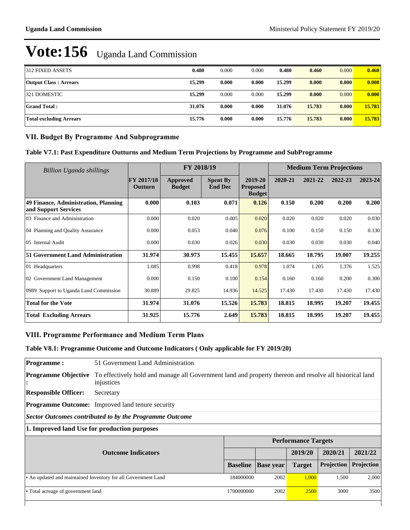| 312 FIXED ASSETS             | 0.480  | 0.000 | 0.000 | 0.480  | 0.460  | 0.000 | 0.460  |
|------------------------------|--------|-------|-------|--------|--------|-------|--------|
|                              |        |       |       |        |        |       |        |
| <b>Output Class: Arrears</b> | 15.299 | 0.000 | 0.000 | 15.299 | 0.000  | 0.000 | 0.000  |
| 321 DOMESTIC                 | 15.299 | 0.000 | 0.000 | 15.299 | 0.000  | 0.000 | 0.000  |
| Grand Total :                | 31.076 | 0.000 | 0.000 | 31.076 | 15.783 | 0.000 | 15.783 |
| Total excluding Arrears      | 15.776 | 0.000 | 0.000 | 15.776 | 15.783 | 0.000 | 15.783 |

## **VII. Budget By Programme And Subprogramme**

## **Table V7.1: Past Expenditure Outturns and Medium Term Projections by Programme and SubProgramme**

| Billion Uganda shillings                                     | FY 2018/19            |                                  |                                   | <b>Medium Term Projections</b>              |         |         |         |         |
|--------------------------------------------------------------|-----------------------|----------------------------------|-----------------------------------|---------------------------------------------|---------|---------|---------|---------|
|                                                              | FY 2017/18<br>Outturn | <b>Approved</b><br><b>Budget</b> | <b>Spent By</b><br><b>End Dec</b> | 2019-20<br><b>Proposed</b><br><b>Budget</b> | 2020-21 | 2021-22 | 2022-23 | 2023-24 |
| 49 Finance, Administration, Planning<br>and Support Services | 0.000                 | 0.103                            | 0.071                             | 0.126                                       | 0.150   | 0.200   | 0.200   | 0.200   |
| 03 Finance and Administration                                | 0.000                 | 0.020                            | 0.005                             | 0.020                                       | 0.020   | 0.020   | 0.020   | 0.030   |
| 04 Planning and Quality Assurance                            | 0.000                 | 0.053                            | 0.040                             | 0.076                                       | 0.100   | 0.150   | 0.150   | 0.130   |
| 05 Internal Audit                                            | 0.000                 | 0.030                            | 0.026                             | 0.030                                       | 0.030   | 0.030   | 0.030   | 0.040   |
| 51 Government Land Administration                            | 31.974                | 30.973                           | 15.455                            | 15.657                                      | 18.665  | 18.795  | 19.007  | 19.255  |
| 01 Headquarters                                              | 1.085                 | 0.998                            | 0.418                             | 0.978                                       | 1.074   | 1.205   | 1.376   | 1.525   |
| 02 Government Land Management                                | 0.000                 | 0.150                            | 0.100                             | 0.154                                       | 0.160   | 0.160   | 0.200   | 0.300   |
| 0989 Support to Uganda Land Commission                       | 30.889                | 29.825                           | 14.936                            | 14.525                                      | 17.430  | 17.430  | 17.430  | 17.430  |
| <b>Total for the Vote</b>                                    | 31.974                | 31.076                           | 15.526                            | 15.783                                      | 18.815  | 18.995  | 19.207  | 19.455  |
| <b>Total Excluding Arrears</b>                               | 31.925                | 15.776                           | 2.649                             | 15.783                                      | 18.815  | 18.995  | 19.207  | 19.455  |

# **VIII. Programme Performance and Medium Term Plans**

## **Table V8.1: Programme Outcome and Outcome Indicators ( Only applicable for FY 2019/20)**

| <b>Programme:</b>                       | 51 Government Land Administration                                                                                     |                 |                  |                            |            |            |  |  |  |
|-----------------------------------------|-----------------------------------------------------------------------------------------------------------------------|-----------------|------------------|----------------------------|------------|------------|--|--|--|
| <b>Programme Objective</b><br>$\bullet$ | To effectively hold and manage all Government land and property thereon and resolve all historical land<br>injustices |                 |                  |                            |            |            |  |  |  |
| <b>Responsible Officer:</b>             | Secretary                                                                                                             |                 |                  |                            |            |            |  |  |  |
|                                         | <b>Programme Outcome:</b> Improved land tenure security                                                               |                 |                  |                            |            |            |  |  |  |
|                                         | Sector Outcomes contributed to by the Programme Outcome                                                               |                 |                  |                            |            |            |  |  |  |
|                                         | 1. Improved land Use for production purposes                                                                          |                 |                  |                            |            |            |  |  |  |
|                                         |                                                                                                                       |                 |                  | <b>Performance Targets</b> |            |            |  |  |  |
|                                         | <b>Outcome Indicators</b>                                                                                             |                 |                  | 2019/20                    | 2020/21    | 2021/22    |  |  |  |
|                                         |                                                                                                                       | <b>Baseline</b> | <b>Base</b> year | <b>Target</b>              | Projection | Projection |  |  |  |
|                                         | • An updated and maintained Inventory for all Government Land                                                         | 184000000       | 2002             | 1,000                      | 1,500      | 2,000      |  |  |  |
| • Total acreage of government land      |                                                                                                                       | 1700000000      | 2002             | <b>2500</b>                | 3000       | 3500       |  |  |  |
|                                         |                                                                                                                       |                 |                  |                            |            |            |  |  |  |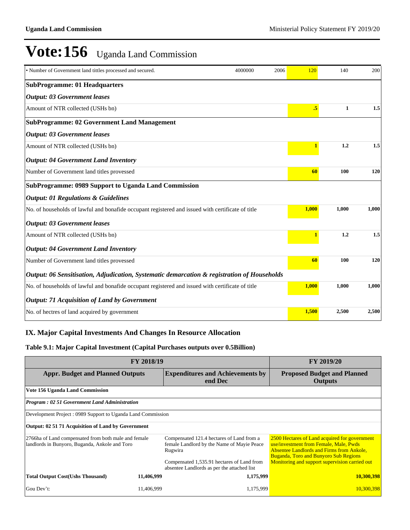| • Number of Government land tittles processed and secured.                                        | 4000000 | 2006 | 120          | 140          | 200   |
|---------------------------------------------------------------------------------------------------|---------|------|--------------|--------------|-------|
| <b>SubProgramme: 01 Headquarters</b>                                                              |         |      |              |              |       |
| <b>Output: 03 Government leases</b>                                                               |         |      |              |              |       |
| Amount of NTR collected (USHs bn)                                                                 |         |      | .5           | $\mathbf{1}$ | 1.5   |
| <b>SubProgramme: 02 Government Land Management</b>                                                |         |      |              |              |       |
| <b>Output: 03 Government leases</b>                                                               |         |      |              |              |       |
| Amount of NTR collected (USHs bn)                                                                 |         |      | $\mathbf{1}$ | 1.2          | 1.5   |
| <b>Output: 04 Government Land Inventory</b>                                                       |         |      |              |              |       |
| Number of Government land titles provessed                                                        |         |      | 60           | 100          | 120   |
| SubProgramme: 0989 Support to Uganda Land Commission                                              |         |      |              |              |       |
| <b>Output: 01 Regulations &amp; Guidelines</b>                                                    |         |      |              |              |       |
| No. of households of lawful and bonafide occupant registered and issued with certificate of title |         |      | 1,000        | 1,000        | 1,000 |
| <b>Output: 03 Government leases</b>                                                               |         |      |              |              |       |
| Amount of NTR collected (USHs bn)                                                                 |         |      | $\mathbf{1}$ | 1.2          | 1.5   |
| <b>Output: 04 Government Land Inventory</b>                                                       |         |      |              |              |       |
| Number of Government land titles provessed                                                        |         |      | 60           | 100          | 120   |
| Output: 06 Sensitisation, Adjudication, Systematic demarcation & registration of Households       |         |      |              |              |       |
| No. of households of lawful and bonafide occupant registered and issued with certificate of title |         |      | 1,000        | 1,000        | 1,000 |
| <b>Output: 71 Acquisition of Land by Government</b>                                               |         |      |              |              |       |
| No. of hectres of land acquired by government                                                     |         |      | 1,500        | 2,500        | 2,500 |

# **IX. Major Capital Investments And Changes In Resource Allocation**

#### **Table 9.1: Major Capital Investment (Capital Purchases outputs over 0.5Billion)**

| <b>FY 2018/19</b>                                                                                      | <b>FY 2019/20</b>                                    |                                                                                                                                                                                                 |                                                                                                                                                                                                                                               |
|--------------------------------------------------------------------------------------------------------|------------------------------------------------------|-------------------------------------------------------------------------------------------------------------------------------------------------------------------------------------------------|-----------------------------------------------------------------------------------------------------------------------------------------------------------------------------------------------------------------------------------------------|
| <b>Appr. Budget and Planned Outputs</b>                                                                | <b>Proposed Budget and Planned</b><br><b>Outputs</b> |                                                                                                                                                                                                 |                                                                                                                                                                                                                                               |
| Vote 156 Uganda Land Commission                                                                        |                                                      |                                                                                                                                                                                                 |                                                                                                                                                                                                                                               |
| <b>Program: 02 51 Government Land Administration</b>                                                   |                                                      |                                                                                                                                                                                                 |                                                                                                                                                                                                                                               |
| Development Project: 0989 Support to Uganda Land Commission                                            |                                                      |                                                                                                                                                                                                 |                                                                                                                                                                                                                                               |
| Output: 02 51 71 Acquisition of Land by Government                                                     |                                                      |                                                                                                                                                                                                 |                                                                                                                                                                                                                                               |
| 2766ha of Land compensated from both male and female<br>landlords in Bunyoro, Buganda, Ankole and Toro |                                                      | Compensated 121.4 hectares of Land from a<br>female Landlord by the Name of Mayie Peace<br>Rugwira<br>Compensated 1,535.91 hectares of Land from<br>absentee Landlords as per the attached list | 2500 Hectares of Land acquired for government<br>use/investment from Female, Male, Pwds<br><b>Absentee Landlords and Firms from Ankole,</b><br><b>Buganda, Toro and Bunyoro Sub Regions</b><br>Monitoring and support supervision carried out |
| <b>Total Output Cost(Ushs Thousand)</b>                                                                | 11,406,999                                           | 1,175,999                                                                                                                                                                                       | 10,300,398                                                                                                                                                                                                                                    |
| Gou Dev't:                                                                                             | 11,406,999                                           | 1,175,999                                                                                                                                                                                       | 10,300,398                                                                                                                                                                                                                                    |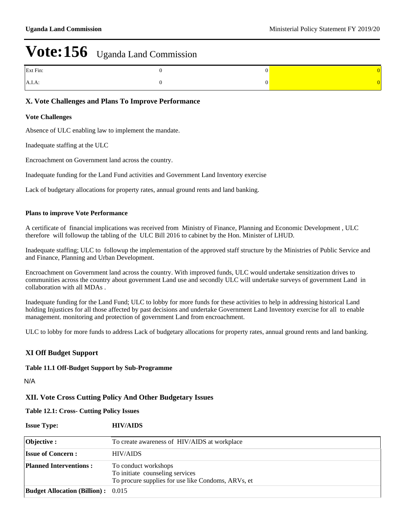| Ext Fin: |  |
|----------|--|
| A.I.A:   |  |

## **X. Vote Challenges and Plans To Improve Performance**

#### **Vote Challenges**

Absence of ULC enabling law to implement the mandate.

Inadequate staffing at the ULC

Encroachment on Government land across the country.

Inadequate funding for the Land Fund activities and Government Land Inventory exercise

Lack of budgetary allocations for property rates, annual ground rents and land banking.

#### **Plans to improve Vote Performance**

A certificate of financial implications was received from Ministry of Finance, Planning and Economic Development , ULC therefore will followup the tabling of the ULC Bill 2016 to cabinet by the Hon. Minister of LHUD.

Inadequate staffing; ULC to followup the implementation of the approved staff structure by the Ministries of Public Service and and Finance, Planning and Urban Development.

Encroachment on Government land across the country. With improved funds, ULC would undertake sensitization drives to communities across the country about government Land use and secondly ULC will undertake surveys of government Land in collaboration with all MDAs .

Inadequate funding for the Land Fund; ULC to lobby for more funds for these activities to help in addressing historical Land holding Injustices for all those affected by past decisions and undertake Government Land Inventory exercise for all to enable management. monitoring and protection of government Land from encroachment.

ULC to lobby for more funds to address Lack of budgetary allocations for property rates, annual ground rents and land banking.

## **XI Off Budget Support**

#### **Table 11.1 Off-Budget Support by Sub-Programme**

N/A

#### **XII. Vote Cross Cutting Policy And Other Budgetary Issues**

**Table 12.1: Cross- Cutting Policy Issues**

| <b>Issue Type:</b>                        | <b>HIV/AIDS</b>                                                                                               |
|-------------------------------------------|---------------------------------------------------------------------------------------------------------------|
| Objective :                               | To create awareness of HIV/AIDS at workplace                                                                  |
| <b>Issue of Concern:</b>                  | <b>HIV/AIDS</b>                                                                                               |
| <b>Planned Interventions:</b>             | To conduct workshops<br>To initiate counseling services<br>To procure supplies for use like Condoms, ARVs, et |
| <b>Budget Allocation (Billion):</b> 0.015 |                                                                                                               |
|                                           |                                                                                                               |